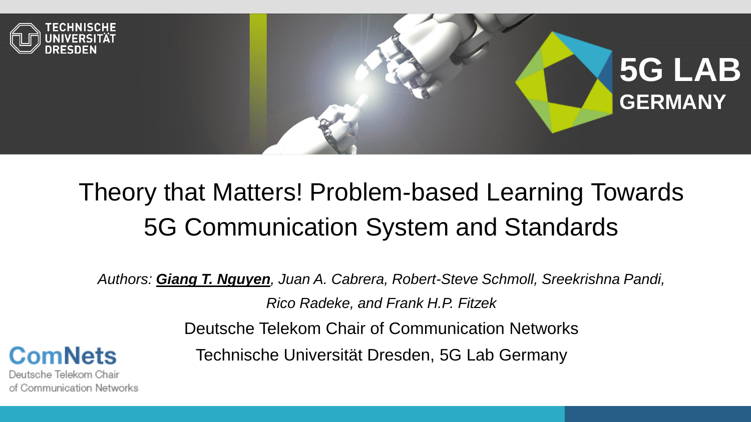

# Theory that Matters! Problem-based Learning Towards 5G Communication System and Standards

*Authors: Giang T. Nguyen, Juan A. Cabrera, Robert-Steve Schmoll, Sreekrishna Pandi,* 

*Rico Radeke, and Frank H.P. Fitzek*

Deutsche Telekom Chair of Communication Networks

Technische Universität Dresden, 5G Lab Germany

**ComNets** 

Deutsche Telekom Chair of Communication Networks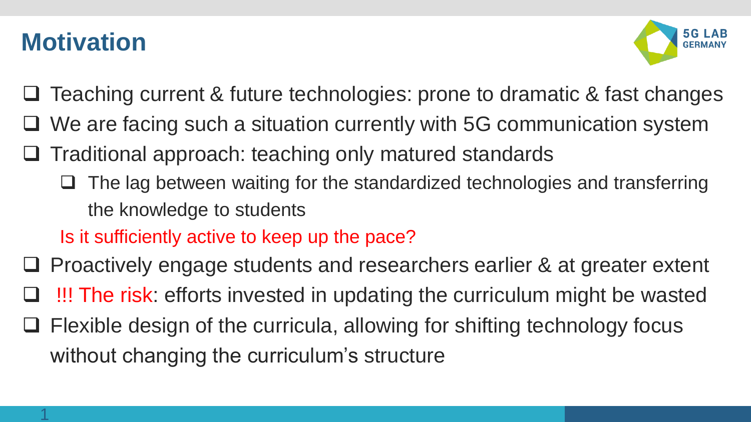#### **Motivation**

1



- Teaching current & future technologies: prone to dramatic & fast changes
- We are facing such a situation currently with 5G communication system
- Traditional approach: teaching only matured standards
	- $\Box$  The lag between waiting for the standardized technologies and transferring the knowledge to students

Is it sufficiently active to keep up the pace?

- $\Box$  Proactively engage students and researchers earlier & at greater extent
- $\Box$  !!! The risk: efforts invested in updating the curriculum might be wasted
- Flexible design of the curricula, allowing for shifting technology focus without changing the curriculum's structure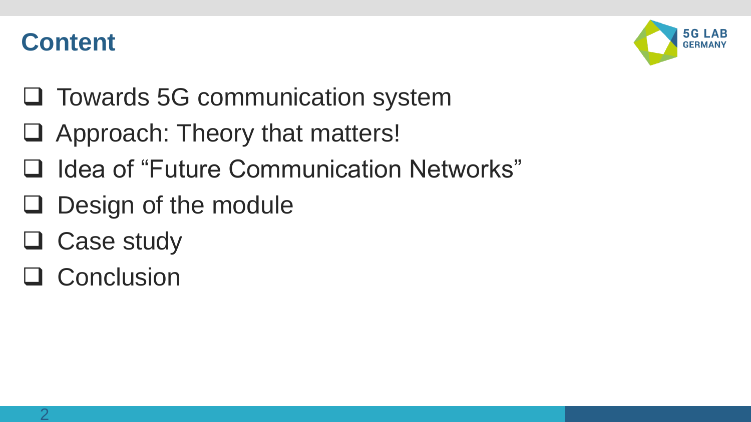#### **Content**



- $\Box$  Towards 5G communication system
- $\Box$  Approach: Theory that matters!
- □ Idea of "Future Communication Networks"
- $\Box$  Design of the module
- □ Case study
- **Q** Conclusion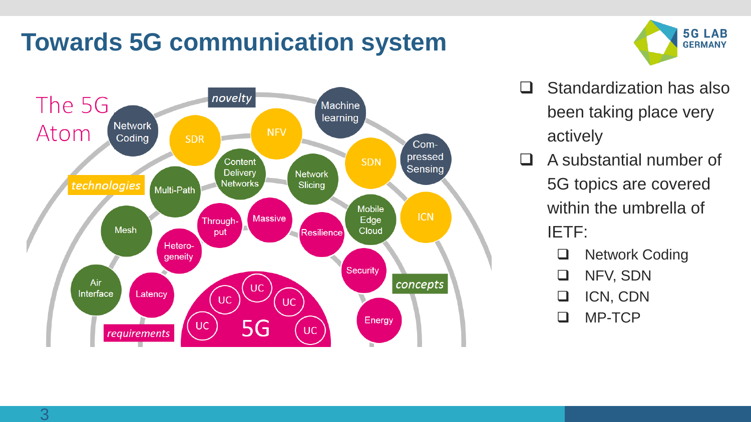## **Towards 5G communication system**





- $\Box$  Standardization has also been taking place very actively
- $\Box$  A substantial number of 5G topics are covered within the umbrella of IETF:
	- □ Network Coding
	- **Q** NFV, SDN
	- ICN, CDN
	- MP-TCP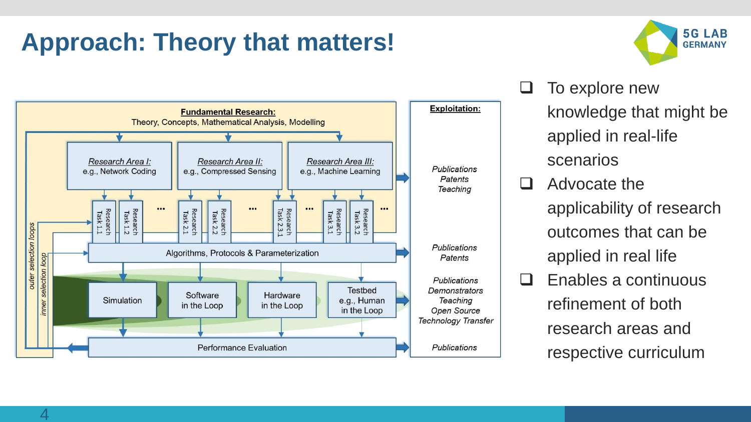## **Approach: Theory that matters!**





- $\Box$  To explore new knowledge that might be applied in real-life scenarios
- $\Box$  Advocate the applicability of research outcomes that can be applied in real life
- $\Box$  Fnables a continuous refinement of both research areas and respective curriculum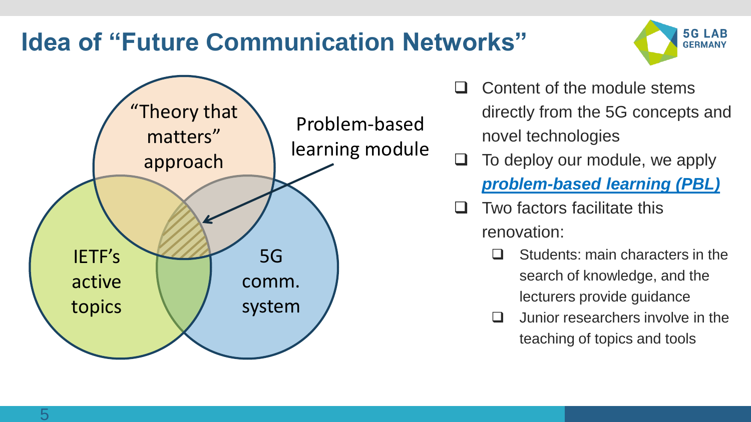### **Idea of "Future Communication Networks"**





- Content of the module stems directly from the 5G concepts and novel technologies
- $\Box$  To deploy our module, we apply
	- *problem-based learning (PBL)*
- Two factors facilitate this renovation:
	- $\Box$  Students: main characters in the search of knowledge, and the lecturers provide guidance
	- $\Box$  Junior researchers involve in the teaching of topics and tools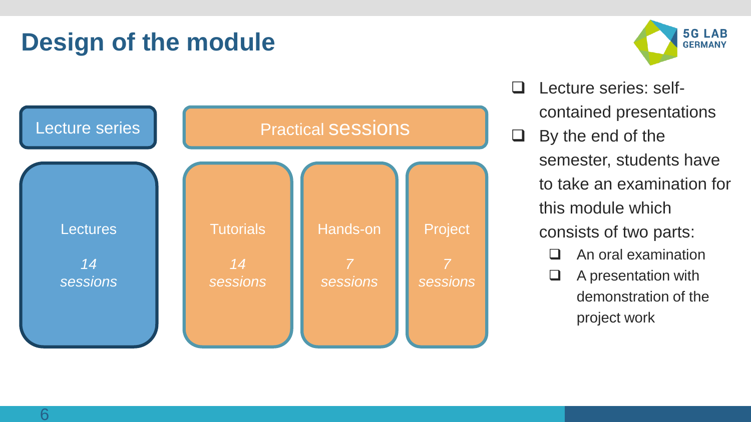#### **Design of the module**





**Q** Lecture series: selfcontained presentations

 $\Box$  By the end of the semester, students have to take an examination for this module which consists of two parts: □ An oral examination  $\Box$  A presentation with demonstration of the project work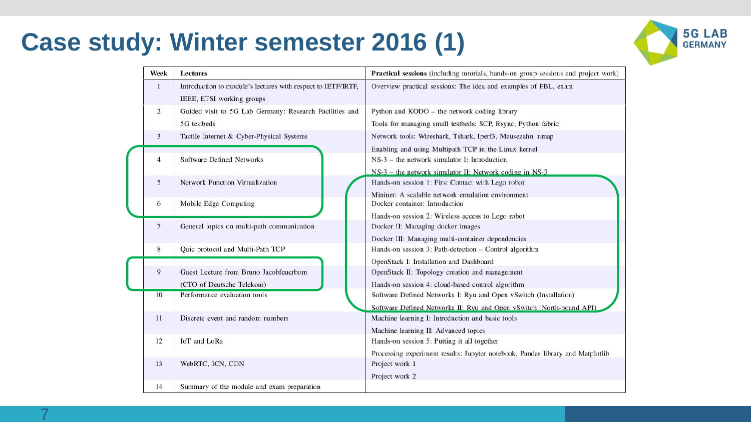#### **Case study: Winter semester 2016 (1)**



|  | Week           | <b>Lectures</b>                                                                           | <b>Practical sessions</b> (including tutorials, hands-on group sessions and project work)        |
|--|----------------|-------------------------------------------------------------------------------------------|--------------------------------------------------------------------------------------------------|
|  | $\mathbf{1}$   | Introduction to module's lectures with respect to IETF/IRTF.<br>IEEE, ETSI working groups | Overview practical sessions: The idea and examples of PBL, exam                                  |
|  | $\overline{2}$ | Guided visit to 5G Lab Germany: Research Facilities and                                   | Python and KODO – the network coding library                                                     |
|  |                | 5G testbeds                                                                               | Tools for managing small testbeds: SCP, Rsync, Python fabric                                     |
|  | 3              | Tactile Internet & Cyber-Physical Systems                                                 | Network tools: Wireshark, Tshark, Iperf3, Mausezahn, nmap                                        |
|  |                |                                                                                           | Enabling and using Multipath TCP in the Linux kernel                                             |
|  | $\overline{4}$ | Software Defined Networks                                                                 | $NS-3$ – the network simulator I: Introduction                                                   |
|  |                |                                                                                           | $NS-3$ – the network simulator II: Network coding in NS-3                                        |
|  | 5              | Network Function Virtualization                                                           | Hands-on session 1: First Contact with Lego robot                                                |
|  |                |                                                                                           | Mininet: A scalable network emulation environment                                                |
|  | 6              | Mobile Edge Computing                                                                     | Docker container: Introduction                                                                   |
|  |                |                                                                                           | Hands-on session 2: Wireless access to Lego robot                                                |
|  | $\overline{7}$ | General topics on multi-path communication                                                | Docker II: Managing docker images                                                                |
|  |                |                                                                                           | Docker III: Managing multi-container dependencies                                                |
|  | 8              | Quic protocol and Multi-Path TCP                                                          | Hands-on session 3: Path-detection - Control algorithm                                           |
|  |                |                                                                                           | OpenStack I: Installation and Dashboard                                                          |
|  | 9              | Guest Lecture from Bruno Jacobfeuerborn                                                   | OpenStack II: Topology creation and management                                                   |
|  |                | (CTO of Deutsche Telekom)                                                                 | Hands-on session 4: cloud-based control algorithm                                                |
|  | 10             | Performance evaluation tools                                                              | Software Defined Networks I: Ryu and Open vSwitch (Installation)                                 |
|  |                | Discrete event and random numbers                                                         | Software Defined Networks II: Ryu and Open vSwitch (North-bound API)                             |
|  | 11             |                                                                                           | Machine learning I: Introduction and basic tools                                                 |
|  | 12             | IoT and LoRa                                                                              | Machine learning II: Advanced topics                                                             |
|  |                |                                                                                           | Hands-on session 5: Putting it all together                                                      |
|  | 13             | WebRTC, ICN, CDN                                                                          | Processing experiment results: Jupyter notebook, Pandas library and Matplotlib<br>Project work 1 |
|  |                |                                                                                           |                                                                                                  |
|  | 14             | Summary of the module and exam preparation                                                | Project work 2                                                                                   |
|  |                |                                                                                           |                                                                                                  |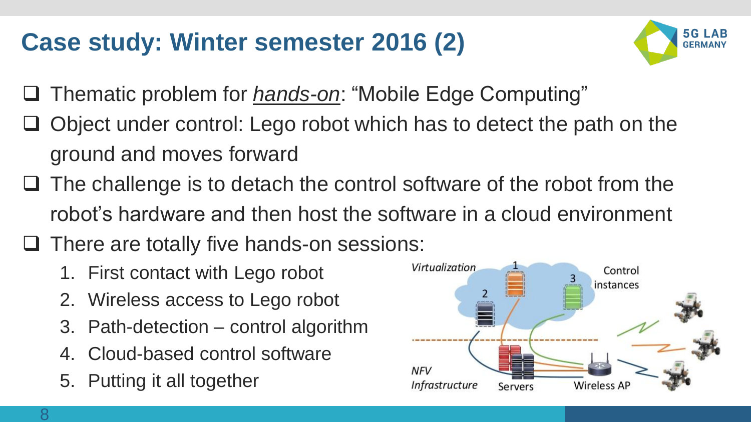### **Case study: Winter semester 2016 (2)**



- Thematic problem for *hands-on*: "Mobile Edge Computing"
- Object under control: Lego robot which has to detect the path on the ground and moves forward
- $\Box$  The challenge is to detach the control software of the robot from the robot's hardware and then host the software in a cloud environment
- $\Box$  There are totally five hands-on sessions:
	- 1. First contact with Lego robot
	- 2. Wireless access to Lego robot
	- 3. Path-detection control algorithm
	- 4. Cloud-based control software
	- 5. Putting it all together

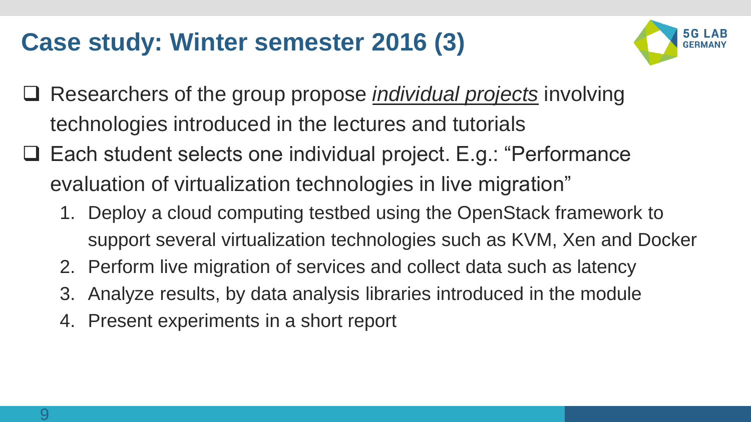#### **Case study: Winter semester 2016 (3)**



- Researchers of the group propose *individual projects* involving technologies introduced in the lectures and tutorials
- Each student selects one individual project. E.g.: "Performance evaluation of virtualization technologies in live migration"
	- 1. Deploy a cloud computing testbed using the OpenStack framework to support several virtualization technologies such as KVM, Xen and Docker
	- 2. Perform live migration of services and collect data such as latency
	- 3. Analyze results, by data analysis libraries introduced in the module
	- 4. Present experiments in a short report